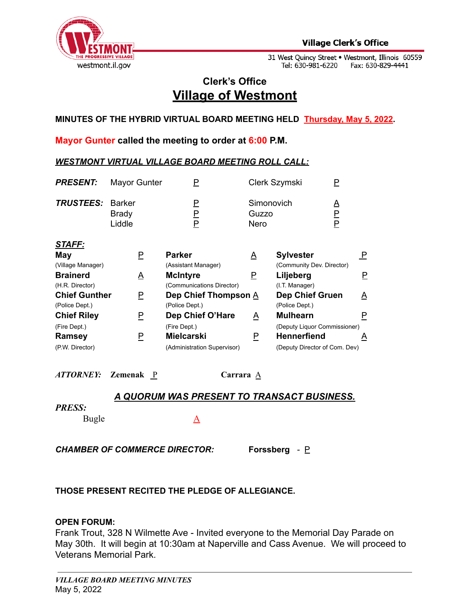

31 West Quincy Street • Westmont, Illinois 60559<br>Tel: 630-981-6220 Fax: 630-829-4441

## **Clerk's Office Village of Westmont**

**MINUTES OF THE HYBRID VIRTUAL BOARD MEETING HELD Thursday, May 5, 2022.**

**Mayor Gunter called the meeting to order at 6:00 P.M.**

## *WESTMONT VIRTUAL VILLAGE BOARD MEETING ROLL CALL:*

| <b>PRESENT:</b>                                  | Mayor Gunter                            | Ρ                                                                |                             | Clerk Szymski<br>P                                                                  |                         |
|--------------------------------------------------|-----------------------------------------|------------------------------------------------------------------|-----------------------------|-------------------------------------------------------------------------------------|-------------------------|
| <b>TRUSTEES:</b>                                 | <b>Barker</b><br><b>Brady</b><br>Liddle | P<br>$\overline{\mathsf{F}}$<br>$\overline{P}$                   | Simonovich<br>Guzzo<br>Nero | Δ<br>P<br>P                                                                         |                         |
| <u>STAFF:</u><br>May<br>(Village Manager)        | P                                       | <b>Parker</b><br>(Assistant Manager)                             | A                           | <b>Sylvester</b><br>(Community Dev. Director)                                       | $\overline{\mathsf{P}}$ |
| <b>Brainerd</b><br>(H.R. Director)               | <u>A</u>                                | <b>McIntyre</b><br>(Communications Director)                     | P                           | Liljeberg<br>(I.T. Manager)                                                         | P.                      |
| <b>Chief Gunther</b><br>(Police Dept.)           | P                                       | Dep Chief Thompson A<br>(Police Dept.)                           |                             | <b>Dep Chief Gruen</b><br>(Police Dept.)                                            | A                       |
| <b>Chief Riley</b>                               | P                                       | Dep Chief O'Hare                                                 | A                           | <b>Mulhearn</b>                                                                     | P                       |
| (Fire Dept.)<br><b>Ramsey</b><br>(P.W. Director) | P                                       | (Fire Dept.)<br><b>Mielcarski</b><br>(Administration Supervisor) | P                           | (Deputy Liquor Commissioner)<br><b>Hennerfiend</b><br>(Deputy Director of Com. Dev) | A                       |
|                                                  |                                         |                                                                  |                             |                                                                                     |                         |

*ATTORNEY:* **Zemenak** P **Carrara** A

## *A QUORUM WAS PRESENT TO TRANSACT BUSINESS.*

#### *PRESS:*

Bugle A

*CHAMBER OF COMMERCE DIRECTOR:* **Forssberg** *-* P

## **THOSE PRESENT RECITED THE PLEDGE OF ALLEGIANCE.**

## **OPEN FORUM:**

Frank Trout, 328 N Wilmette Ave - Invited everyone to the Memorial Day Parade on May 30th. It will begin at 10:30am at Naperville and Cass Avenue. We will proceed to Veterans Memorial Park.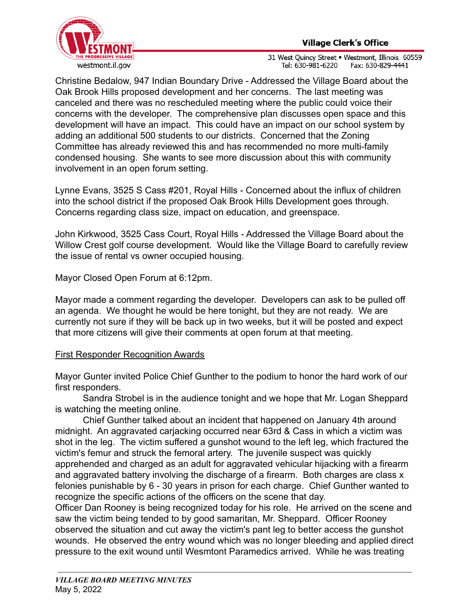

31 West Quincy Street . Westmont, Illinois 60559 Tel: 630-981-6220 Fax: 630-829-4441

Christine Bedalow, 947 Indian Boundary Drive - Addressed the Village Board about the Oak Brook Hills proposed development and her concerns. The last meeting was canceled and there was no rescheduled meeting where the public could voice their concerns with the developer. The comprehensive plan discusses open space and this development will have an impact. This could have an impact on our school system by adding an additional 500 students to our districts. Concerned that the Zoning Committee has already reviewed this and has recommended no more multi-family condensed housing. She wants to see more discussion about this with community involvement in an open forum setting.

Lynne Evans, 3525 S Cass #201, Royal Hills - Concerned about the influx of children into the school district if the proposed Oak Brook Hills Development goes through. Concerns regarding class size, impact on education, and greenspace.

John Kirkwood, 3525 Cass Court, Royal Hills - Addressed the Village Board about the Willow Crest golf course development. Would like the Village Board to carefully review the issue of rental vs owner occupied housing.

Mayor Closed Open Forum at 6:12pm.

Mayor made a comment regarding the developer. Developers can ask to be pulled off an agenda. We thought he would be here tonight, but they are not ready. We are currently not sure if they will be back up in two weeks, but it will be posted and expect that more citizens will give their comments at open forum at that meeting.

## First Responder Recognition Awards

Mayor Gunter invited Police Chief Gunther to the podium to honor the hard work of our first responders.

Sandra Strobel is in the audience tonight and we hope that Mr. Logan Sheppard is watching the meeting online.

Chief Gunther talked about an incident that happened on January 4th around midnight. An aggravated carjacking occurred near 63rd & Cass in which a victim was shot in the leg. The victim suffered a gunshot wound to the left leg, which fractured the victim's femur and struck the femoral artery. The juvenile suspect was quickly apprehended and charged as an adult for aggravated vehicular hijacking with a firearm and aggravated battery involving the discharge of a firearm. Both charges are class x felonies punishable by 6 - 30 years in prison for each charge. Chief Gunther wanted to recognize the specific actions of the officers on the scene that day.

Officer Dan Rooney is being recognized today for his role. He arrived on the scene and saw the victim being tended to by good samaritan, Mr. Sheppard. Officer Rooney observed the situation and cut away the victim's pant leg to better access the gunshot wounds. He observed the entry wound which was no longer bleeding and applied direct pressure to the exit wound until Wesmtont Paramedics arrived. While he was treating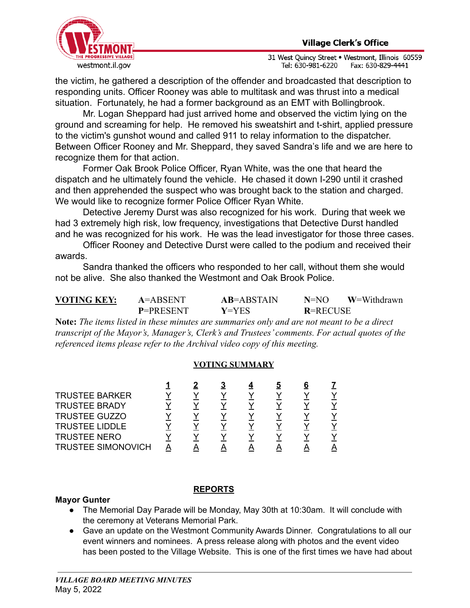

31 West Quincy Street . Westmont, Illinois 60559 Tel: 630-981-6220 Fax: 630-829-4441

the victim, he gathered a description of the offender and broadcasted that description to responding units. Officer Rooney was able to multitask and was thrust into a medical situation. Fortunately, he had a former background as an EMT with Bollingbrook.

Mr. Logan Sheppard had just arrived home and observed the victim lying on the ground and screaming for help. He removed his sweatshirt and t-shirt, applied pressure to the victim's gunshot wound and called 911 to relay information to the dispatcher. Between Officer Rooney and Mr. Sheppard, they saved Sandra's life and we are here to recognize them for that action.

Former Oak Brook Police Officer, Ryan White, was the one that heard the dispatch and he ultimately found the vehicle. He chased it down I-290 until it crashed and then apprehended the suspect who was brought back to the station and charged. We would like to recognize former Police Officer Ryan White.

Detective Jeremy Durst was also recognized for his work. During that week we had 3 extremely high risk, low frequency, investigations that Detective Durst handled and he was recognized for his work. He was the lead investigator for those three cases.

Officer Rooney and Detective Durst were called to the podium and received their awards.

Sandra thanked the officers who responded to her call, without them she would not be alive. She also thanked the Westmont and Oak Brook Police.

| <b>VOTING KEY:</b> | $A = ABSENT$     | $AB = ABSTAIN$ | $N=NO$          | W=Withdrawn |
|--------------------|------------------|----------------|-----------------|-------------|
|                    | <b>P=PRESENT</b> | $V = YES$      | <b>R=RECUSE</b> |             |

**Note:** *The items listed in these minutes are summaries only and are not meant to be a direct transcript of the Mayor's, Manager's, Clerk's and Trustees' comments. For actual quotes of the referenced items please refer to the Archival video copy of this meeting.*

#### **VOTING SUMMARY**

|  |  | 5 | 6 |  |
|--|--|---|---|--|
|  |  |   |   |  |
|  |  |   |   |  |
|  |  |   |   |  |
|  |  |   |   |  |
|  |  |   |   |  |
|  |  |   |   |  |
|  |  |   |   |  |

## **Mayor Gunter**

## **REPORTS**

- The Memorial Day Parade will be Monday, May 30th at 10:30am. It will conclude with the ceremony at Veterans Memorial Park.
- Gave an update on the Westmont Community Awards Dinner. Congratulations to all our event winners and nominees. A press release along with photos and the event video has been posted to the Village Website. This is one of the first times we have had about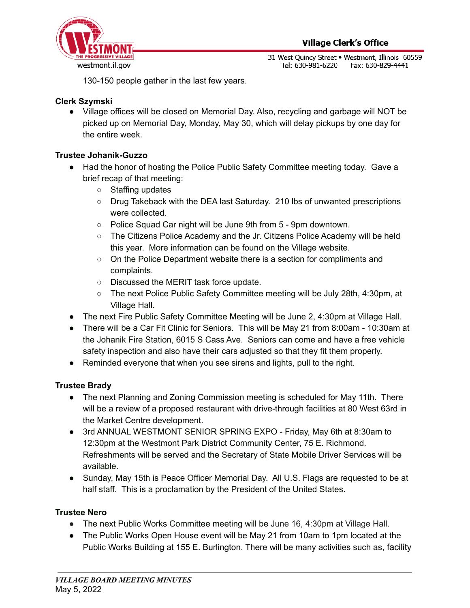

31 West Quincy Street . Westmont, Illinois 60559 Tel: 630-981-6220 Fax: 630-829-4441

130-150 people gather in the last few years.

## **Clerk Szymski**

● Village offices will be closed on Memorial Day. Also, recycling and garbage will NOT be picked up on Memorial Day, Monday, May 30, which will delay pickups by one day for the entire week.

## **Trustee Johanik-Guzzo**

- Had the honor of hosting the Police Public Safety Committee meeting today. Gave a brief recap of that meeting:
	- Staffing updates
	- o Drug Takeback with the DEA last Saturday. 210 lbs of unwanted prescriptions were collected.
	- Police Squad Car night will be June 9th from 5 9pm downtown.
	- The Citizens Police Academy and the Jr. Citizens Police Academy will be held this year. More information can be found on the Village website.
	- On the Police Department website there is a section for compliments and complaints.
	- Discussed the MERIT task force update.
	- The next Police Public Safety Committee meeting will be July 28th, 4:30pm, at Village Hall.
- The next Fire Public Safety Committee Meeting will be June 2, 4:30pm at Village Hall.
- There will be a Car Fit Clinic for Seniors. This will be May 21 from 8:00am 10:30am at the Johanik Fire Station, 6015 S Cass Ave. Seniors can come and have a free vehicle safety inspection and also have their cars adjusted so that they fit them properly.
- Reminded everyone that when you see sirens and lights, pull to the right.

## **Trustee Brady**

- The next Planning and Zoning Commission meeting is scheduled for May 11th. There will be a review of a proposed restaurant with drive-through facilities at 80 West 63rd in the Market Centre development.
- 3rd ANNUAL WESTMONT SENIOR SPRING EXPO Friday, May 6th at 8:30am to 12:30pm at the Westmont Park District Community Center, 75 E. Richmond. Refreshments will be served and the Secretary of State Mobile Driver Services will be available.
- Sunday, May 15th is Peace Officer Memorial Day. All U.S. Flags are requested to be at half staff. This is a proclamation by the President of the United States.

## **Trustee Nero**

- The next Public Works Committee meeting will be June 16, 4:30pm at Village Hall.
- The Public Works Open House event will be May 21 from 10am to 1pm located at the Public Works Building at 155 E. Burlington. There will be many activities such as, facility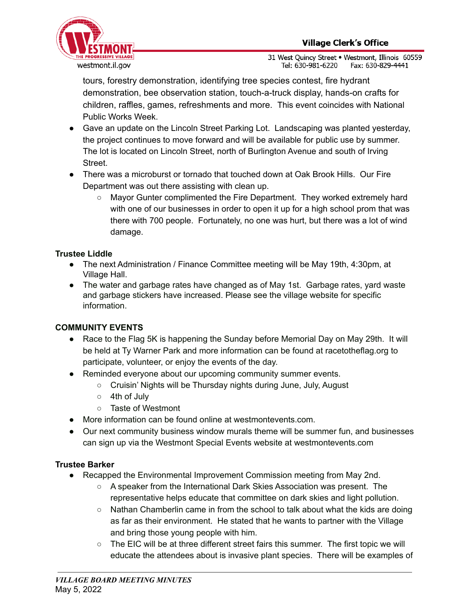

31 West Ouincy Street . Westmont, Illinois 60559 Tel: 630-981-6220 Fax: 630-829-4441

tours, forestry demonstration, identifying tree species contest, fire hydrant demonstration, bee observation station, touch-a-truck display, hands-on crafts for children, raffles, games, refreshments and more. This event coincides with National Public Works Week.

- Gave an update on the Lincoln Street Parking Lot. Landscaping was planted yesterday, the project continues to move forward and will be available for public use by summer. The lot is located on Lincoln Street, north of Burlington Avenue and south of Irving Street.
- There was a microburst or tornado that touched down at Oak Brook Hills. Our Fire Department was out there assisting with clean up.
	- Mayor Gunter complimented the Fire Department. They worked extremely hard with one of our businesses in order to open it up for a high school prom that was there with 700 people. Fortunately, no one was hurt, but there was a lot of wind damage.

## **Trustee Liddle**

- The next Administration / Finance Committee meeting will be May 19th, 4:30pm, at Village Hall.
- The water and garbage rates have changed as of May 1st. Garbage rates, yard waste and garbage stickers have increased. Please see the village website for specific information.

## **COMMUNITY EVENTS**

- Race to the Flag 5K is happening the Sunday before Memorial Day on May 29th. It will be held at Ty Warner Park and more information can be found at racetotheflag.org to participate, volunteer, or enjoy the events of the day.
- Reminded everyone about our upcoming community summer events.
	- Cruisin' Nights will be Thursday nights during June, July, August
	- 4th of July
	- Taste of Westmont
- More information can be found online at westmontevents.com.
- Our next community business window murals theme will be summer fun, and businesses can sign up via the Westmont Special Events website at westmontevents.com

## **Trustee Barker**

- Recapped the Environmental Improvement Commission meeting from May 2nd.
	- A speaker from the International Dark Skies Association was present. The representative helps educate that committee on dark skies and light pollution.
	- $\circ$  Nathan Chamberlin came in from the school to talk about what the kids are doing as far as their environment. He stated that he wants to partner with the Village and bring those young people with him.
	- The EIC will be at three different street fairs this summer. The first topic we will educate the attendees about is invasive plant species. There will be examples of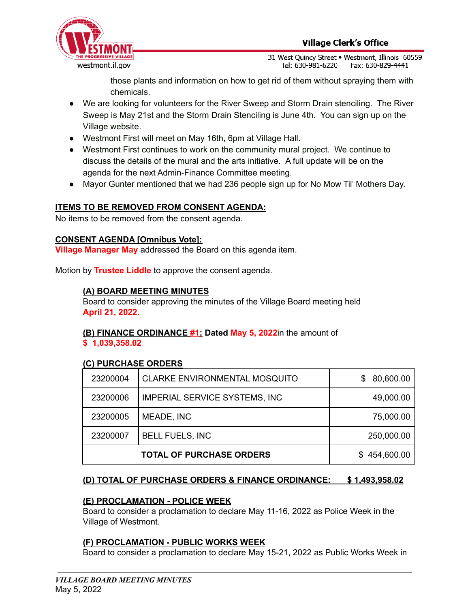

31 West Quincy Street . Westmont, Illinois 60559 Tel: 630-981-6220 Fax: 630-829-4441

those plants and information on how to get rid of them without spraying them with chemicals.

- We are looking for volunteers for the River Sweep and Storm Drain stenciling. The River Sweep is May 21st and the Storm Drain Stenciling is June 4th. You can sign up on the Village website.
- Westmont First will meet on May 16th, 6pm at Village Hall.
- Westmont First continues to work on the community mural project. We continue to discuss the details of the mural and the arts initiative. A full update will be on the agenda for the next Admin-Finance Committee meeting.
- Mayor Gunter mentioned that we had 236 people sign up for No Mow Til' Mothers Day.

## **ITEMS TO BE REMOVED FROM CONSENT AGENDA:**

No items to be removed from the consent agenda.

#### **CONSENT AGENDA [Omnibus Vote]:**

**Village Manager May** addressed the Board on this agenda item.

Motion by **Trustee Liddle** to approve the consent agenda.

## **(A) BOARD MEETING MINUTES**

Board to consider approving the minutes of the Village Board meeting held **April 21, 2022.**

# **(B) FINANCE ORDINANCE #1: Dated May 5, 2022**in the amount of

**\$ 1,039,358.02**

## **(C) PURCHASE ORDERS**

| 23200004 | <b>CLARKE ENVIRONMENTAL MOSQUITO</b> | 80,600.00<br>S. |
|----------|--------------------------------------|-----------------|
| 23200006 | <b>IMPERIAL SERVICE SYSTEMS, INC</b> | 49,000.00       |
| 23200005 | MEADE, INC                           | 75,000.00       |
| 23200007 | <b>BELL FUELS, INC</b>               | 250,000.00      |
|          | 454,600.00<br>S.                     |                 |

## **(D) TOTAL OF PURCHASE ORDERS & FINANCE ORDINANCE: \$ 1,493,958.02**

## **(E) PROCLAMATION - POLICE WEEK**

Board to consider a proclamation to declare May 11-16, 2022 as Police Week in the Village of Westmont.

## **(F) PROCLAMATION - PUBLIC WORKS WEEK**

Board to consider a proclamation to declare May 15-21, 2022 as Public Works Week in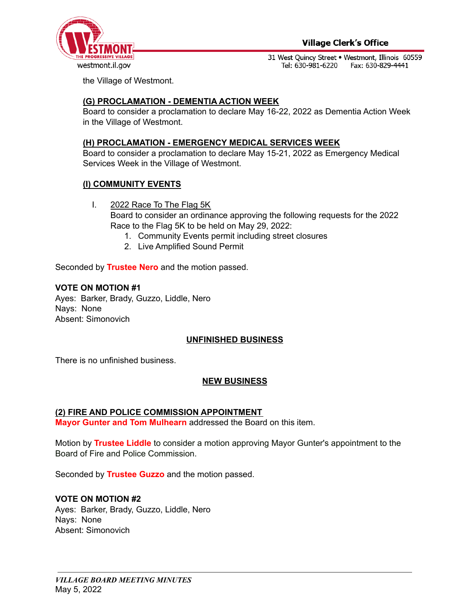

31 West Quincy Street . Westmont, Illinois 60559 Tel: 630-981-6220 Fax: 630-829-4441

the Village of Westmont.

## **(G) PROCLAMATION - DEMENTIA ACTION WEEK**

Board to consider a proclamation to declare May 16-22, 2022 as Dementia Action Week in the Village of Westmont.

#### **(H) PROCLAMATION - EMERGENCY MEDICAL SERVICES WEEK**

Board to consider a proclamation to declare May 15-21, 2022 as Emergency Medical Services Week in the Village of Westmont.

## **(I) COMMUNITY EVENTS**

- I. 2022 Race To The Flag 5K Board to consider an ordinance approving the following requests for the 2022 Race to the Flag 5K to be held on May 29, 2022:
	- 1. Community Events permit including street closures
	- 2. Live Amplified Sound Permit

Seconded by **Trustee Nero** and the motion passed.

#### **VOTE ON MOTION #1**

Ayes: Barker, Brady, Guzzo, Liddle, Nero Nays: None Absent: Simonovich

#### **UNFINISHED BUSINESS**

There is no unfinished business.

#### **NEW BUSINESS**

#### **(2) FIRE AND POLICE COMMISSION APPOINTMENT**

**Mayor Gunter and Tom Mulhearn** addressed the Board on this item.

Motion by **Trustee Liddle** to consider a motion approving Mayor Gunter's appointment to the Board of Fire and Police Commission.

Seconded by **Trustee Guzzo** and the motion passed.

#### **VOTE ON MOTION #2**

Ayes: Barker, Brady, Guzzo, Liddle, Nero Nays: None Absent: Simonovich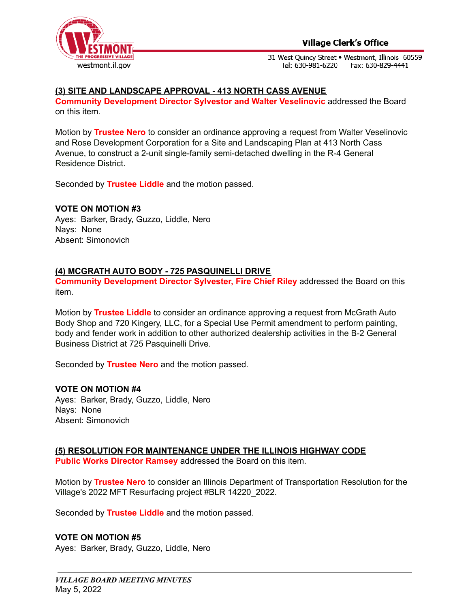

#### **Village Clerk's Office**

31 West Quincy Street . Westmont, Illinois 60559 Tel: 630-981-6220 Fax: 630-829-4441

#### **(3) SITE AND LANDSCAPE APPROVAL - 413 NORTH CASS AVENUE**

**Community Development Director Sylvestor and Walter Veselinovic** addressed the Board on this item.

Motion by **Trustee Nero** to consider an ordinance approving a request from Walter Veselinovic and Rose Development Corporation for a Site and Landscaping Plan at 413 North Cass Avenue, to construct a 2-unit single-family semi-detached dwelling in the R-4 General Residence District.

Seconded by **Trustee Liddle** and the motion passed.

#### **VOTE ON MOTION #3**

Ayes: Barker, Brady, Guzzo, Liddle, Nero Nays: None Absent: Simonovich

#### **(4) MCGRATH AUTO BODY - 725 PASQUINELLI DRIVE**

**Community Development Director Sylvester, Fire Chief Riley** addressed the Board on this item.

Motion by **Trustee Liddle** to consider an ordinance approving a request from McGrath Auto Body Shop and 720 Kingery, LLC, for a Special Use Permit amendment to perform painting, body and fender work in addition to other authorized dealership activities in the B-2 General Business District at 725 Pasquinelli Drive.

Seconded by **Trustee Nero** and the motion passed.

#### **VOTE ON MOTION #4**

Ayes: Barker, Brady, Guzzo, Liddle, Nero Nays: None Absent: Simonovich

#### **(5) RESOLUTION FOR MAINTENANCE UNDER THE ILLINOIS HIGHWAY CODE**

**Public Works Director Ramsey** addressed the Board on this item.

Motion by **Trustee Nero** to consider an Illinois Department of Transportation Resolution for the Village's 2022 MFT Resurfacing project #BLR 14220\_2022.

Seconded by **Trustee Liddle** and the motion passed.

#### **VOTE ON MOTION #5**

Ayes: Barker, Brady, Guzzo, Liddle, Nero